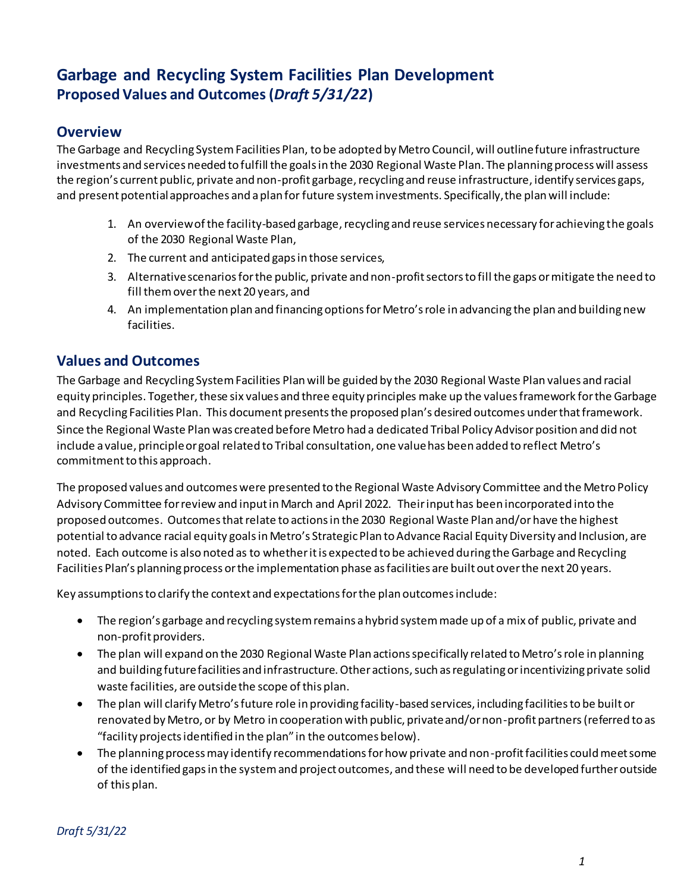# **Garbage and Recycling System Facilities Plan Development Proposed Values and Outcomes(***Draft 5/31/22***)**

## **Overview**

The Garbage and Recycling System Facilities Plan, to be adopted by Metro Council, will outline future infrastructure investments and services needed to fulfill the goals in the 2030 Regional Waste Plan. The planning process will assess the region's current public, private and non-profit garbage, recycling and reuse infrastructure, identify services gaps, and present potential approaches and a plan for future system investments. Specifically, the plan will include:

- 1. An overview of the facility-based garbage, recycling and reuse services necessary for achieving the goals of the 2030 Regional Waste Plan,
- 2. The current and anticipated gaps in those services,
- 3. Alternative scenarios for the public, private and non-profit sectors to fill the gaps or mitigate the need to fill them over the next 20 years, and
- 4. An implementation plan and financing options for Metro's role in advancing the plan and building new facilities.

## **Values and Outcomes**

The Garbage and Recycling System Facilities Plan will be guided by the 2030 Regional Waste Plan values and racial equity principles. Together, these six values and three equity principles make up the values framework for the Garbage and Recycling Facilities Plan. This document presents the proposed plan's desired outcomes under that framework. Since the Regional Waste Plan was created before Metro had a dedicated Tribal Policy Advisor position and did not include a value, principle or goal related to Tribal consultation, one value has been added to reflect Metro's commitment to this approach.

The proposed values and outcomes were presented to the Regional Waste Advisory Committee and the Metro Policy Advisory Committee for review and input in March and April 2022. Their input has been incorporated into the proposed outcomes. Outcomes that relate to actions in the 2030 Regional Waste Plan and/or have the highest potential to advance racial equity goals in Metro's Strategic Plan to Advance Racial Equity Diversity and Inclusion, are noted. Each outcome is also noted as to whether it is expected to be achieved during the Garbage and Recycling Facilities Plan's planning process or the implementation phase as facilities are built out over the next 20 years.

Key assumptions to clarify the context and expectations for the plan outcomes include:

- The region's garbage and recycling system remains a hybrid system made up of a mix of public, private and non-profit providers.
- The plan will expand on the 2030 Regional Waste Plan actions specifically related to Metro's role in planning and building future facilities and infrastructure. Other actions, such as regulating or incentivizing private solid waste facilities, are outside the scope of this plan.
- The plan will clarify Metro's future role in providing facility-based services, including facilities to be built or renovated by Metro, or by Metro in cooperation with public, private and/or non-profit partners(referred to as "facility projects identified in the plan" in the outcomes below).
- The planning process may identify recommendations for how private and non-profit facilities could meet some of the identified gaps in the system and project outcomes, and these will need to be developed further outside of this plan.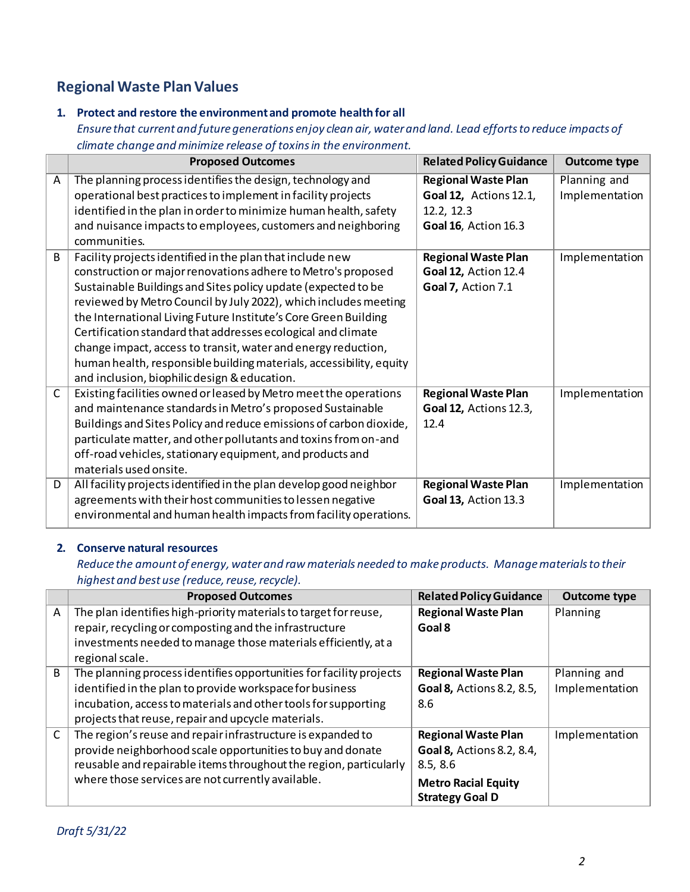# **Regional Waste Plan Values**

## **1. Protect and restore the environment and promote health for all**

*Ensure that current and future generations enjoy clean air, water and land. Lead efforts to reduce impacts of climate change and minimize release of toxins in the environment.*

|   | <b>Proposed Outcomes</b>                                                                                                                                                                                                                                                                                                                                                                                                                                                                                                                                                                 | <b>Related Policy Guidance</b>                                                                    | <b>Outcome type</b>            |
|---|------------------------------------------------------------------------------------------------------------------------------------------------------------------------------------------------------------------------------------------------------------------------------------------------------------------------------------------------------------------------------------------------------------------------------------------------------------------------------------------------------------------------------------------------------------------------------------------|---------------------------------------------------------------------------------------------------|--------------------------------|
| A | The planning process identifies the design, technology and<br>operational best practices to implement in facility projects<br>identified in the plan in order to minimize human health, safety<br>and nuisance impacts to employees, customers and neighboring<br>communities.                                                                                                                                                                                                                                                                                                           | <b>Regional Waste Plan</b><br><b>Goal 12, Actions 12.1,</b><br>12.2, 12.3<br>Goal 16, Action 16.3 | Planning and<br>Implementation |
| B | Facility projects identified in the plan that include new<br>construction or major renovations adhere to Metro's proposed<br>Sustainable Buildings and Sites policy update (expected to be<br>reviewed by Metro Council by July 2022), which includes meeting<br>the International Living Future Institute's Core Green Building<br>Certification standard that addresses ecological and climate<br>change impact, access to transit, water and energy reduction,<br>human health, responsible building materials, accessibility, equity<br>and inclusion, biophilic design & education. | <b>Regional Waste Plan</b><br><b>Goal 12, Action 12.4</b><br>Goal 7, Action 7.1                   | Implementation                 |
| C | Existing facilities owned or leased by Metro meet the operations<br>and maintenance standards in Metro's proposed Sustainable<br>Buildings and Sites Policy and reduce emissions of carbon dioxide,<br>particulate matter, and other pollutants and toxins from on-and<br>off-road vehicles, stationary equipment, and products and<br>materials used onsite.                                                                                                                                                                                                                            | <b>Regional Waste Plan</b><br><b>Goal 12, Actions 12.3,</b><br>12.4                               | Implementation                 |
| D | All facility projects identified in the plan develop good neighbor<br>agreements with their host communities to lessen negative<br>environmental and human health impacts from facility operations.                                                                                                                                                                                                                                                                                                                                                                                      | <b>Regional Waste Plan</b><br><b>Goal 13, Action 13.3</b>                                         | Implementation                 |

#### **2. Conserve natural resources**

*Reduce the amount of energy, water and raw materials needed to make products. Manage materials to their highest and best use (reduce, reuse, recycle).*

|              | <b>Proposed Outcomes</b>                                            | <b>Related Policy Guidance</b> | <b>Outcome type</b> |
|--------------|---------------------------------------------------------------------|--------------------------------|---------------------|
| A            | The plan identifies high-priority materials to target for reuse,    | <b>Regional Waste Plan</b>     | Planning            |
|              | repair, recycling or composting and the infrastructure              | Goal 8                         |                     |
|              | investments needed to manage those materials efficiently, at a      |                                |                     |
|              | regional scale.                                                     |                                |                     |
| B            | The planning process identifies opportunities for facility projects | <b>Regional Waste Plan</b>     | Planning and        |
|              | identified in the plan to provide workspace for business            | Goal 8, Actions 8.2, 8.5,      | Implementation      |
|              | incubation, access to materials and other tools for supporting      | 8.6                            |                     |
|              | projects that reuse, repair and upcycle materials.                  |                                |                     |
| $\mathsf{C}$ | The region's reuse and repair infrastructure is expanded to         | <b>Regional Waste Plan</b>     | Implementation      |
|              | provide neighborhood scale opportunities to buy and donate          | Goal 8, Actions 8.2, 8.4,      |                     |
|              | reusable and repairable items throughout the region, particularly   | 8.5, 8.6                       |                     |
|              | where those services are not currently available.                   | <b>Metro Racial Equity</b>     |                     |
|              |                                                                     | <b>Strategy Goal D</b>         |                     |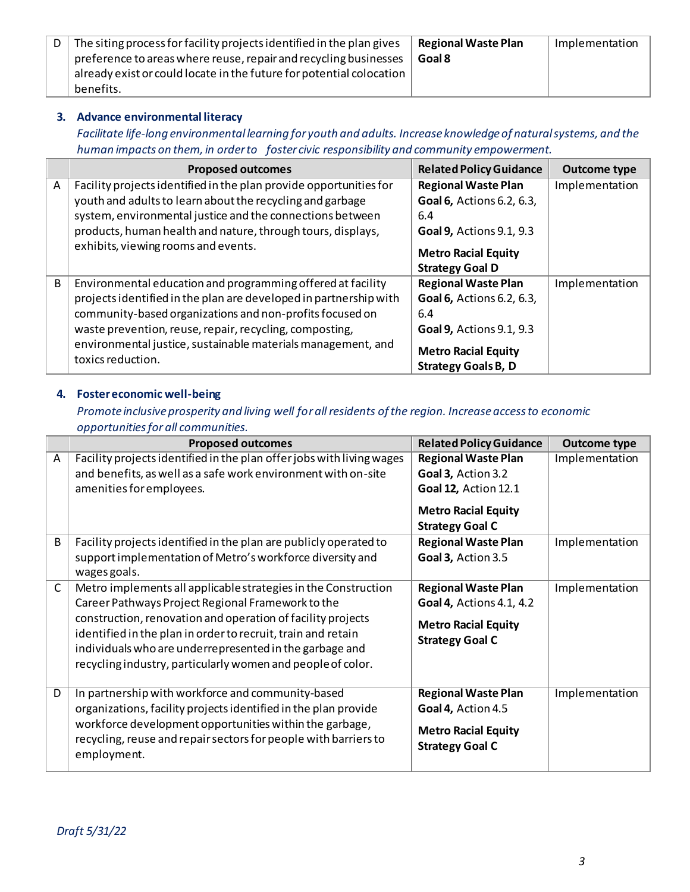| The siting process for facility projects identified in the plan gives | <b>Regional Waste Plan</b> | Implementation |
|-----------------------------------------------------------------------|----------------------------|----------------|
| preference to areas where reuse, repair and recycling businesses      | Goal 8                     |                |
| already exist or could locate in the future for potential colocation  |                            |                |
| benefits.                                                             |                            |                |

### **3. Advance environmental literacy**

*Facilitate life-long environmental learning for youth and adults. Increase knowledge of natural systems, and the human impacts on them, in order to foster civic responsibility and community empowerment.*

|   | <b>Proposed outcomes</b>                                                          | <b>Related Policy Guidance</b>  | <b>Outcome type</b> |
|---|-----------------------------------------------------------------------------------|---------------------------------|---------------------|
| A | Facility projects identified in the plan provide opportunities for                | <b>Regional Waste Plan</b>      | Implementation      |
|   | youth and adults to learn about the recycling and garbage                         | Goal 6, Actions 6.2, 6.3,       |                     |
|   | system, environmental justice and the connections between                         | 6.4                             |                     |
|   | products, human health and nature, through tours, displays,                       | <b>Goal 9, Actions 9.1, 9.3</b> |                     |
|   | exhibits, viewing rooms and events.                                               | <b>Metro Racial Equity</b>      |                     |
|   |                                                                                   | <b>Strategy Goal D</b>          |                     |
| B | Environmental education and programming offered at facility                       | <b>Regional Waste Plan</b>      | Implementation      |
|   | projects identified in the plan are developed in partnership with                 | Goal 6, Actions 6.2, 6.3,       |                     |
|   | community-based organizations and non-profits focused on                          | 6.4                             |                     |
|   | waste prevention, reuse, repair, recycling, composting,                           | <b>Goal 9, Actions 9.1, 9.3</b> |                     |
|   | environmental justice, sustainable materials management, and<br>toxics reduction. | <b>Metro Racial Equity</b>      |                     |
|   |                                                                                   | <b>Strategy Goals B, D</b>      |                     |

### **4. Foster economic well-being**

*Promote inclusive prosperity and living well for all residents of the region. Increase access to economic opportunities for all communities.*

|              | <b>Proposed outcomes</b>                                                                                                                                                                                                                                                                                                                                                     | <b>Related Policy Guidance</b>                                                                                                          | <b>Outcome type</b> |
|--------------|------------------------------------------------------------------------------------------------------------------------------------------------------------------------------------------------------------------------------------------------------------------------------------------------------------------------------------------------------------------------------|-----------------------------------------------------------------------------------------------------------------------------------------|---------------------|
| A            | Facility projects identified in the plan offer jobs with living wages<br>and benefits, as well as a safe work environment with on-site<br>amenities for employees.                                                                                                                                                                                                           | <b>Regional Waste Plan</b><br>Goal 3, Action 3.2<br><b>Goal 12, Action 12.1</b><br><b>Metro Racial Equity</b><br><b>Strategy Goal C</b> | Implementation      |
| B            | Facility projects identified in the plan are publicly operated to<br>support implementation of Metro's workforce diversity and<br>wages goals.                                                                                                                                                                                                                               | <b>Regional Waste Plan</b><br>Goal 3, Action 3.5                                                                                        | Implementation      |
| $\mathsf{C}$ | Metro implements all applicable strategies in the Construction<br>Career Pathways Project Regional Framework to the<br>construction, renovation and operation of facility projects<br>identified in the plan in order to recruit, train and retain<br>individuals who are underrepresented in the garbage and<br>recycling industry, particularly women and people of color. | <b>Regional Waste Plan</b><br>Goal 4, Actions 4.1, 4.2<br><b>Metro Racial Equity</b><br><b>Strategy Goal C</b>                          | Implementation      |
| D            | In partnership with workforce and community-based<br>organizations, facility projects identified in the plan provide<br>workforce development opportunities within the garbage,<br>recycling, reuse and repair sectors for people with barriers to<br>employment.                                                                                                            | <b>Regional Waste Plan</b><br>Goal 4, Action 4.5<br><b>Metro Racial Equity</b><br><b>Strategy Goal C</b>                                | Implementation      |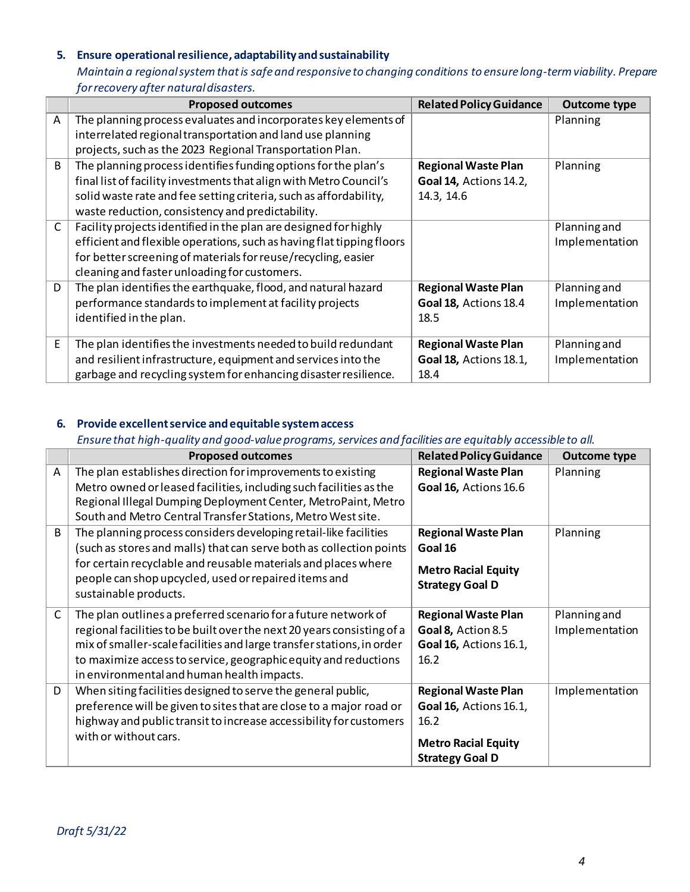## **5. Ensure operational resilience, adaptability and sustainability**

*Maintain a regional system that is safe and responsive to changing conditions to ensure long-term viability. Prepare for recovery after natural disasters.* 

|              | <b>Proposed outcomes</b>                                              | <b>Related Policy Guidance</b> | <b>Outcome type</b> |
|--------------|-----------------------------------------------------------------------|--------------------------------|---------------------|
| A            | The planning process evaluates and incorporates key elements of       |                                | Planning            |
|              | interrelated regional transportation and land use planning            |                                |                     |
|              | projects, such as the 2023 Regional Transportation Plan.              |                                |                     |
| B            | The planning process identifies funding options for the plan's        | <b>Regional Waste Plan</b>     | Planning            |
|              | final list of facility investments that align with Metro Council's    | <b>Goal 14, Actions 14.2,</b>  |                     |
|              | solid waste rate and fee setting criteria, such as affordability,     | 14.3, 14.6                     |                     |
|              | waste reduction, consistency and predictability.                      |                                |                     |
| $\mathsf{C}$ | Facility projects identified in the plan are designed for highly      |                                | Planning and        |
|              | efficient and flexible operations, such as having flat tipping floors |                                | Implementation      |
|              | for better screening of materials for reuse/recycling, easier         |                                |                     |
|              | cleaning and faster unloading for customers.                          |                                |                     |
| D            | The plan identifies the earthquake, flood, and natural hazard         | <b>Regional Waste Plan</b>     | Planning and        |
|              | performance standards to implement at facility projects               | Goal 18, Actions 18.4          | Implementation      |
|              | identified in the plan.                                               | 18.5                           |                     |
|              |                                                                       |                                |                     |
| E            | The plan identifies the investments needed to build redundant         | <b>Regional Waste Plan</b>     | Planning and        |
|              | and resilient infrastructure, equipment and services into the         | <b>Goal 18, Actions 18.1,</b>  | Implementation      |
|              | garbage and recycling system for enhancing disaster resilience.       | 18.4                           |                     |

## **6. Provide excellent service and equitable system access**

#### *Ensure that high-quality and good-value programs, services and facilities are equitably accessible to all.*

|              | <b>Proposed outcomes</b>                                                                                                                                                                                                                                                                                                           | <b>Related Policy Guidance</b>                                                                                              | <b>Outcome type</b>            |
|--------------|------------------------------------------------------------------------------------------------------------------------------------------------------------------------------------------------------------------------------------------------------------------------------------------------------------------------------------|-----------------------------------------------------------------------------------------------------------------------------|--------------------------------|
| A            | The plan establishes direction for improvements to existing<br>Metro owned or leased facilities, including such facilities as the<br>Regional Illegal Dumping Deployment Center, MetroPaint, Metro<br>South and Metro Central Transfer Stations, Metro West site.                                                                  | <b>Regional Waste Plan</b><br>Goal 16, Actions 16.6                                                                         | Planning                       |
| B            | The planning process considers developing retail-like facilities<br>(such as stores and malls) that can serve both as collection points<br>for certain recyclable and reusable materials and places where<br>people can shop upcycled, used or repaired items and<br>sustainable products.                                         | <b>Regional Waste Plan</b><br>Goal 16<br><b>Metro Racial Equity</b><br><b>Strategy Goal D</b>                               | Planning                       |
| $\mathsf{C}$ | The plan outlines a preferred scenario for a future network of<br>regional facilities to be built over the next 20 years consisting of a<br>mix of smaller-scale facilities and large transfer stations, in order<br>to maximize access to service, geographic equity and reductions<br>in environmental and human health impacts. | <b>Regional Waste Plan</b><br>Goal 8, Action 8.5<br><b>Goal 16, Actions 16.1,</b><br>16.2                                   | Planning and<br>Implementation |
| D            | When siting facilities designed to serve the general public,<br>preference will be given to sites that are close to a major road or<br>highway and public transit to increase accessibility for customers<br>with or without cars.                                                                                                 | <b>Regional Waste Plan</b><br><b>Goal 16, Actions 16.1,</b><br>16.2<br><b>Metro Racial Equity</b><br><b>Strategy Goal D</b> | Implementation                 |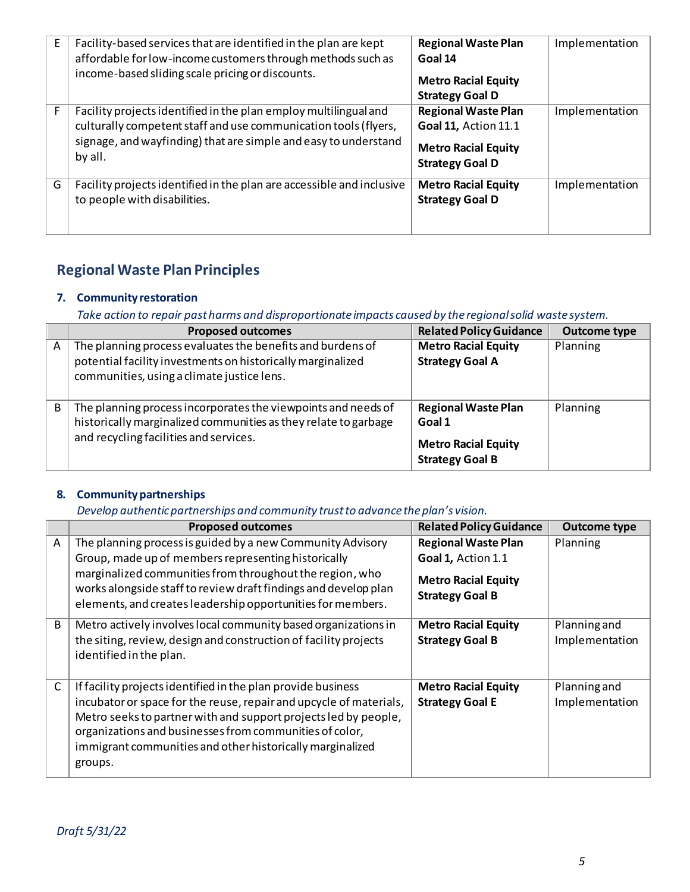| E | Facility-based services that are identified in the plan are kept<br>affordable for low-income customers through methods such as<br>income-based sliding scale pricing or discounts.                               | <b>Regional Waste Plan</b><br>Goal 14<br><b>Metro Racial Equity</b><br><b>Strategy Goal D</b>              | Implementation |
|---|-------------------------------------------------------------------------------------------------------------------------------------------------------------------------------------------------------------------|------------------------------------------------------------------------------------------------------------|----------------|
|   | Facility projects identified in the plan employ multilingual and<br>culturally competent staff and use communication tools (flyers,<br>signage, and wayfinding) that are simple and easy to understand<br>by all. | <b>Regional Waste Plan</b><br>Goal 11, Action 11.1<br><b>Metro Racial Equity</b><br><b>Strategy Goal D</b> | Implementation |
| G | Facility projects identified in the plan are accessible and inclusive<br>to people with disabilities.                                                                                                             | <b>Metro Racial Equity</b><br><b>Strategy Goal D</b>                                                       | Implementation |

# **Regional Waste Plan Principles**

## **7. Community restoration**

*Take action to repair past harms and disproportionate impacts caused by the regional solid waste system.*

|   | <b>Proposed outcomes</b>                                                                                                                                                   | <b>Related Policy Guidance</b>                       | <b>Outcome type</b> |
|---|----------------------------------------------------------------------------------------------------------------------------------------------------------------------------|------------------------------------------------------|---------------------|
| A | The planning process evaluates the benefits and burdens of                                                                                                                 | <b>Metro Racial Equity</b>                           | Planning            |
|   | potential facility investments on historically marginalized<br>communities, using a climate justice lens.                                                                  | <b>Strategy Goal A</b>                               |                     |
| B | The planning process incorporates the viewpoints and needs of<br>historically marginalized communities as they relate to garbage<br>and recycling facilities and services. | <b>Regional Waste Plan</b><br>Goal 1                 | Planning            |
|   |                                                                                                                                                                            | <b>Metro Racial Equity</b><br><b>Strategy Goal B</b> |                     |

## **8. Community partnerships**

## *Develop authentic partnerships and community trust to advance the plan's vision.*

|   | <b>Proposed outcomes</b>                                                                                                                                                                                                                                                                                                                 | <b>Related Policy Guidance</b>                                                                           | <b>Outcome type</b>            |
|---|------------------------------------------------------------------------------------------------------------------------------------------------------------------------------------------------------------------------------------------------------------------------------------------------------------------------------------------|----------------------------------------------------------------------------------------------------------|--------------------------------|
| A | The planning process is guided by a new Community Advisory<br>Group, made up of members representing historically<br>marginalized communities from throughout the region, who<br>works alongside staff to review draft findings and develop plan<br>elements, and creates leadership opportunities for members.                          | <b>Regional Waste Plan</b><br>Goal 1, Action 1.1<br><b>Metro Racial Equity</b><br><b>Strategy Goal B</b> | Planning                       |
| B | Metro actively involves local community based organizations in<br>the siting, review, design and construction of facility projects<br>identified in the plan.                                                                                                                                                                            | <b>Metro Racial Equity</b><br><b>Strategy Goal B</b>                                                     | Planning and<br>Implementation |
| C | If facility projects identified in the plan provide business<br>incubator or space for the reuse, repair and upcycle of materials,<br>Metro seeks to partner with and support projects led by people,<br>organizations and businesses from communities of color,<br>immigrant communities and other historically marginalized<br>groups. | <b>Metro Racial Equity</b><br><b>Strategy Goal E</b>                                                     | Planning and<br>Implementation |